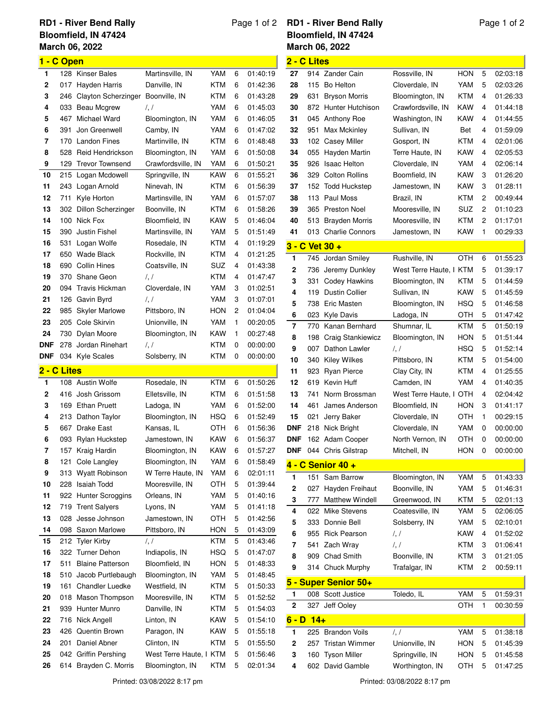## **March 06, 2022 RD1 - River Bend Rally Bloomfield, IN 47424**

## Page 1 of 2 **RD1 - River Bend Rally**

# **March 06, 2022 Bloomfield, IN 47424**

| 1 - C Open  |     |                                    |                                      |            |        |                      |
|-------------|-----|------------------------------------|--------------------------------------|------------|--------|----------------------|
| 1           | 128 | Kinser Bales                       | Martinsville, IN                     | YAM        | 6      | 01:40:19             |
| 2           | 017 | Hayden Harris                      | Danville, IN                         | KTM        | 6      | 01:42:36             |
| 3           | 246 | Clayton Scherzinger                | Boonville, IN                        | KTM        | 6      | 01:43:28             |
| 4           | 033 | Beau Mcgrew                        | $\frac{1}{2}$                        | YAM        | 6      | 01:45:03             |
| 5           | 467 | Michael Ward                       | Bloomington, IN                      | YAM        | 6      | 01:46:05             |
| 6           | 391 | Jon Greenwell                      | Camby, IN                            | YAM        | 6      | 01:47:02             |
| 7           | 170 | <b>Landon Fines</b>                | Martinville, IN                      | KTM        | 6      | 01:48:48             |
| 8           | 528 | <b>Reid Hendrickson</b>            | Bloomington, IN                      | YAM        | 6      | 01:50:08             |
| 9           | 129 | <b>Trevor Townsend</b>             | Crawfordsville, IN                   | YAM        | 6      | 01:50:21             |
| 10          | 215 | Logan Mcdowell                     | Springville, IN                      | KAW        | 6      | 01:55:21             |
| 11          | 243 | Logan Arnold                       | Ninevah, IN                          | KTM        | 6      | 01:56:39             |
| 12          | 711 | Kyle Horton                        | Martinsville, IN                     | YAM        | 6      | 01:57:07             |
| 13          | 302 | <b>Dillon Scherzinger</b>          | Boonville, IN                        | KTM        | 6      | 01:58:26             |
| 14          | 100 | Nick Fox                           | Bloomfield, IN                       | KAW        | 5      | 01:46:04             |
| 15          | 390 | Justin Fishel                      | Martinsville, IN                     | YAM        | 5      | 01:51:49             |
| 16          | 531 | Logan Wolfe                        | Rosedale, IN                         | KTM        | 4      | 01:19:29             |
| 17          | 650 | <b>Wade Black</b>                  | Rockville, IN                        | KTM        | 4      | 01:21:25             |
| 18          | 690 | <b>Collin Hines</b>                | Coatsville, IN                       | SUZ        | 4      | 01:43:38             |
| 19          | 370 | Shane Geon                         | $\frac{1}{2}$                        | KTM        | 4      | 01:47:47             |
| 20          | 094 | Travis Hickman                     | Cloverdale, IN                       | YAM        | 3      | 01:02:51             |
| 21          | 126 | Gavin Byrd                         | $\frac{1}{2}$                        | YAM        | 3      | 01:07:01             |
| 22          | 985 | <b>Skyler Marlowe</b>              | Pittsboro, IN                        | HON        | 2      | 01:04:04             |
| 23          | 205 | Cole Skirvin                       | Unionville, IN                       | YAM        | 1      | 00:20:05             |
| 24          | 730 | Dylan Moore                        | Bloomington, IN                      | KAW        | 1      | 00:27:48             |
| DNF         | 278 | Jordan Rinehart                    | $\frac{1}{2}$                        | KTM        | 0      | 00:00:00             |
| DNF         |     | 034 Kyle Scales                    | Solsberry, IN                        | KTM        | 0      | 00:00:00             |
|             |     |                                    |                                      |            |        |                      |
|             |     |                                    |                                      |            |        |                      |
| 2 - C Lites |     |                                    |                                      |            |        |                      |
| 1           | 108 | <b>Austin Wolfe</b>                | Rosedale, IN                         | KTM        | 6      | 01:50:26             |
| 2           | 416 | Josh Grissom                       | Elletsville, IN                      | KTM        | 6      | 01:51:58             |
| 3<br>4      | 169 | <b>Ethan Pruett</b>                | Ladoga, IN                           | YAM        | 6<br>6 | 01:52:00             |
|             | 213 | Dathon Taylor<br><b>Drake East</b> | Bloomington, IN                      | HSQ        | 6      | 01:52:49             |
| 5<br>6      | 667 |                                    | Kansas, IL<br>Jamestown, IN          | OTH<br>KAW | 6      | 01:56:36<br>01:56:37 |
|             |     | 093 Rylan Huckstep                 |                                      |            | 6      |                      |
| 7<br>8      | 121 | 157 Kraig Hardin<br>Cole Langley   | Bloomington, IN<br>Bloomington, IN   | KAW<br>YAM | 6      | 01:57:27<br>01:58:49 |
| 9           | 313 |                                    |                                      | YAM        | 6      | 02:01:11             |
| 10          | 228 | Wyatt Robinson<br>Isaiah Todd      | W Terre Haute, IN<br>Mooresville, IN | OTH        | 5      | 01:39:44             |
| 11          | 922 | Hunter Scroggins                   | Orleans, IN                          | YAM        | 5      | 01:40:16             |
| 12          | 719 | <b>Trent Salyers</b>               | Lyons, IN                            | YAM        | 5      | 01:41:18             |
| 13          | 028 | Jesse Johnson                      | Jamestown, IN                        | ОТН        | 5      | 01:42:56             |
| 14          | 098 | Saxon Marlowe                      | Pittsboro, IN                        | HON        | 5      | 01:43:09             |
| 15          | 212 | <b>Tyler Kirby</b>                 | $\frac{1}{2}$                        | KTM        | 5      | 01:43:46             |
| 16          | 322 | <b>Turner Dehon</b>                | Indiapolis, IN                       | HSQ        | 5      | 01:47:07             |
| 17          | 511 | <b>Blaine Patterson</b>            | Bloomfield, IN                       | <b>HON</b> | 5      | 01:48:33             |
| 18          | 510 | Jacob Purtlebaugh                  | Bloomington, IN                      | YAM        | 5      | 01:48:45             |
| 19          | 161 | <b>Chandler Luedke</b>             | Westfield, IN                        | KTM        | 5      | 01:50:33             |
| 20          | 018 | Mason Thompson                     | Mooresville, IN                      | KTM        | 5      | 01:52:52             |
| 21          | 939 | Hunter Munro                       | Danville, IN                         | <b>KTM</b> | 5      | 01:54:03             |
| 22          | 716 | Nick Angell                        | Linton, IN                           | KAW        | 5      | 01:54:10             |
| 23          | 426 | <b>Quentin Brown</b>               | Paragon, IN                          | KAW        | 5      | 01:55:18             |
| 24          | 201 | Daniel Abner                       | Clinton, IN                          | KTM        | 5      | 01:55:50             |
| 25          |     | 042 Griffin Pershing               | West Terre Haute, I KTM              |            | 5      | 01:56:46             |

|     | 2 - C Lites |                            |                                    |            |   |          |
|-----|-------------|----------------------------|------------------------------------|------------|---|----------|
| 27  | 914         | Zander Cain                | Rossville, IN                      | HON        | 5 | 02:03:18 |
| 28  | 115         | Bo Helton                  | Cloverdale, IN                     | YAM        | 5 | 02:03:26 |
| 29  | 631         | <b>Bryson Morris</b>       | Bloomington, IN                    | KTM        | 4 | 01:26:33 |
| 30  | 872         | <b>Hunter Hutchison</b>    | Crawfordsville, IN                 | KAW        | 4 | 01:44:18 |
| 31  | 045         | Anthony Roe                | Washington, IN                     | KAW        | 4 | 01:44:55 |
| 32  | 951         | Max Mckinley               | Sullivan, IN                       | Bet        | 4 | 01:59:09 |
| 33  | 102         | <b>Casey Miller</b>        | Gosport, IN                        | KTM        | 4 | 02:01:06 |
| 34  | 055         | Hayden Martin              | Terre Haute, IN                    | KAW        | 4 | 02:05:53 |
| 35  | 926         | <b>Isaac Helton</b>        | Cloverdale, IN                     | YAM        | 4 | 02:06:14 |
| 36  |             | 329 Colton Rollins         | Boomfield, IN                      | KAW        | 3 | 01:26:20 |
| 37  | 152         | Todd Huckstep              | Jamestown, IN                      | KAW        | 3 | 01:28:11 |
| 38  | 113         | Paul Moss                  | Brazil, IN                         | KTM        | 2 | 00:49:44 |
| 39  | 365         | <b>Preston Noel</b>        | Mooresville, IN                    | SUZ        | 2 | 01:10:23 |
| 40  | 513         | <b>Brayden Morris</b>      | Mooresville, IN                    | KTM        | 2 | 01:17:01 |
| 41  | 013         | <b>Charlie Connors</b>     | Jamestown, IN                      | KAW        | 1 | 00:29:33 |
|     |             | 3 - C Vet 30 +             |                                    |            |   |          |
| 1   |             | 745 Jordan Smiley          | Rushville, IN                      | OTH        | 6 | 01:55:23 |
| 2   | 736         | Jeremy Dunkley             | West Terre Haute, I KTM            |            | 5 | 01:39:17 |
| 3   | 331         | <b>Codey Hawkins</b>       | Bloomington, IN                    | KTM        | 5 | 01:44:59 |
| 4   | 119         | <b>Dustin Collier</b>      | Sullivan, IN                       | KAW        | 5 | 01:45:59 |
| 5   | 738         | Eric Masten                | Bloomington, IN                    | HSQ        | 5 | 01:46:58 |
| 6   | 023         | <b>Kyle Davis</b>          | Ladoga, IN                         | OTH        | 5 | 01:47:42 |
| 7   | 770         | Kanan Bernhard             | Shumnar, IL                        | KTM        | 5 | 01:50:19 |
| 8   | 198         | Craig Stankiewicz          | Bloomington, IN                    | HON        | 5 | 01:51:44 |
| 9   | 007         | Dathon Lawler              | $\frac{1}{2}$                      | HSQ        | 5 | 01:52:14 |
| 10  | 340         | <b>Kiley Wilkes</b>        | Pittsboro, IN                      | KTM        | 5 | 01:54:00 |
| 11  | 923         | <b>Ryan Pierce</b>         | Clay City, IN                      | KTM        | 4 | 01:25:55 |
| 12  | 619         | Kevin Huff                 | Camden, IN                         | YAM        | 4 | 01:40:35 |
| 13  | 741         | Norm Brossman              | West Terre Haute, I OTH            |            | 4 | 02:04:42 |
| 14  | 461         | James Anderson             | Bloomfield, IN                     | HON        | 3 | 01:41:17 |
| 15  | 021         | Jerry Baker                | Cloverdale, IN                     | OTH        | 1 | 00:29:15 |
| DNF | 218         |                            |                                    | YAM        | 0 | 00:00:00 |
| DNF | 162         | Nick Bright<br>Adam Cooper | Cloverdale, IN<br>North Vernon, IN | OTH        | 0 | 00:00:00 |
| DNF |             | 044 Chris Gilstrap         | Mitchell, IN                       | HON        | 0 | 00:00:00 |
|     |             |                            |                                    |            |   |          |
|     |             | 4 - C Senior 40 +          |                                    |            |   |          |
| 1   | 151         | Sam Barrow                 | Bloomington, IN                    | <b>YAM</b> | 5 | 01:43:33 |
| 2   | 027         | Hayden Freihaut            | Boonville, IN                      | YAM        | 5 | 01:46:31 |
| 3   | 777         | <b>Matthew Windell</b>     | Greenwood, IN                      | <b>KTM</b> | 5 | 02:01:13 |
| 4   | 022         | Mike Stevens               | Coatesville, IN                    | YAM        | 5 | 02:06:05 |
| 5   | 333         | Donnie Bell                | Solsberry, IN                      | <b>YAM</b> | 5 | 02:10:01 |
| 6   | 955         | <b>Rick Pearson</b>        | $\frac{1}{2}$                      | KAW        | 4 | 01:52:02 |
| 7   | 541         | Zach Wray                  | $\frac{1}{2}$                      | KTM        | 3 | 01:06:41 |
| 8   | 909         | Chad Smith                 | Boonville, IN                      | KTM        | 3 | 01:21:05 |
| 9   | 314         | Chuck Murphy               | Trafalgar, IN                      | KTM        | 2 | 00:59:11 |
|     |             | 5 - Super Senior 50+       |                                    |            |   |          |
| 1   | 008         | Scott Justice              | Toledo, IL                         | YAM        | 5 | 01:59:31 |
| 2   | 327         | Jeff Ooley                 |                                    | OTH        | 1 | 00:30:59 |
|     | $6 - D$ 14+ |                            |                                    |            |   |          |
| 1   | 225         | <b>Brandon Voils</b>       | $\frac{1}{2}$                      | YAM        | 5 | 01:38:18 |
| 2   | 257         | <b>Tristan Wimmer</b>      | Unionville, IN                     | <b>HON</b> | 5 | 01:45:39 |
| 3   | 160         | <b>Tyson Miller</b>        | Springville, IN                    | HON        | 5 | 01:45:58 |
| 4   | 602         | David Gamble               | Worthington, IN                    | OTH        | 5 | 01:47:25 |